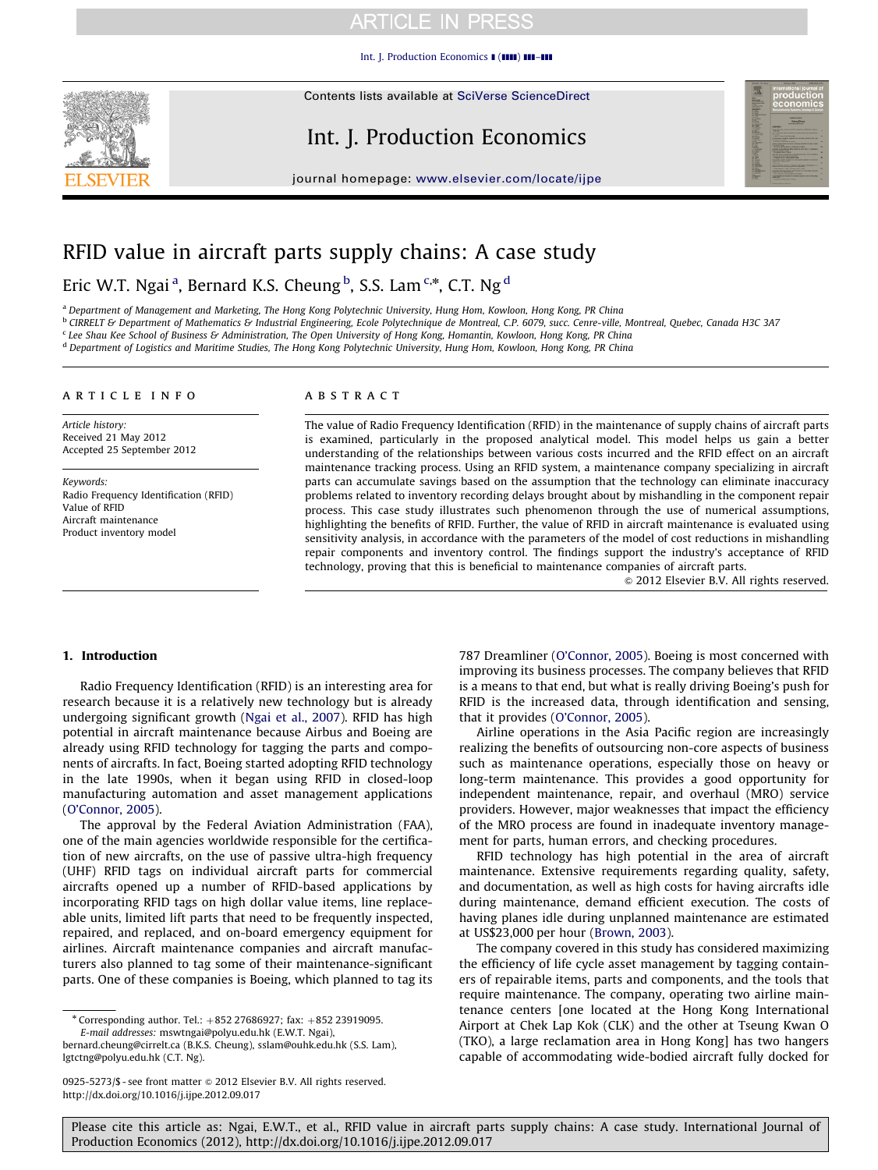## **ARTICLE IN PRESS**

[Int. J. Production Economics](dx.doi.org/10.1016/j.ijpe.2012.09.017)  $\blacksquare$  ( $\blacksquare\blacksquare$ )  $\blacksquare\blacksquare$ 



Contents lists available at [SciVerse ScienceDirect](www.elsevier.com/locate/ijpe)

# Int. J. Production Economics



journal homepage: <www.elsevier.com/locate/ijpe>

# RFID value in aircraft parts supply chains: A case study

Eric W.T. Ngai <sup>a</sup>, Bernard K.S. Cheung <sup>b</sup>, S.S. Lam <sup>c,\*</sup>, C.T. Ng <sup>d</sup>

a Department of Management and Marketing, The Hong Kong Polytechnic University, Hung Hom, Kowloon, Hong Kong, PR China

b CIRRELT & Department of Mathematics & Industrial Engineering, Ecole Polytechnique de Montreal, C.P. 6079, succ. Cenre-ville, Montreal, Quebec, Canada H3C 3A7

Lee Shau Kee School of Business & Administration, The Open University of Hong Kong, Homantin, Kowloon, Hong Kong, PR China

<sup>d</sup> Department of Logistics and Maritime Studies, The Hong Kong Polytechnic University, Hung Hom, Kowloon, Hong Kong, PR China

### article info

Article history: Received 21 May 2012 Accepted 25 September 2012

Keywords: Radio Frequency Identification (RFID) Value of RFID Aircraft maintenance Product inventory model

### **ABSTRACT**

The value of Radio Frequency Identification (RFID) in the maintenance of supply chains of aircraft parts is examined, particularly in the proposed analytical model. This model helps us gain a better understanding of the relationships between various costs incurred and the RFID effect on an aircraft maintenance tracking process. Using an RFID system, a maintenance company specializing in aircraft parts can accumulate savings based on the assumption that the technology can eliminate inaccuracy problems related to inventory recording delays brought about by mishandling in the component repair process. This case study illustrates such phenomenon through the use of numerical assumptions, highlighting the benefits of RFID. Further, the value of RFID in aircraft maintenance is evaluated using sensitivity analysis, in accordance with the parameters of the model of cost reductions in mishandling repair components and inventory control. The findings support the industry's acceptance of RFID technology, proving that this is beneficial to maintenance companies of aircraft parts.

 $\odot$  2012 Elsevier B.V. All rights reserved.

### 1. Introduction

Radio Frequency Identification (RFID) is an interesting area for research because it is a relatively new technology but is already undergoing significant growth ([Ngai et al., 2007\)](#page--1-0). RFID has high potential in aircraft maintenance because Airbus and Boeing are already using RFID technology for tagging the parts and components of aircrafts. In fact, Boeing started adopting RFID technology in the late 1990s, when it began using RFID in closed-loop manufacturing automation and asset management applications ([O'Connor, 2005\)](#page--1-0).

The approval by the Federal Aviation Administration (FAA), one of the main agencies worldwide responsible for the certification of new aircrafts, on the use of passive ultra-high frequency (UHF) RFID tags on individual aircraft parts for commercial aircrafts opened up a number of RFID-based applications by incorporating RFID tags on high dollar value items, line replaceable units, limited lift parts that need to be frequently inspected, repaired, and replaced, and on-board emergency equipment for airlines. Aircraft maintenance companies and aircraft manufacturers also planned to tag some of their maintenance-significant parts. One of these companies is Boeing, which planned to tag its

[bernard.cheung@cirrelt.ca \(B.K.S. Cheung\)](mailto:bernard.cheung@gerad.ca), [sslam@ouhk.edu.hk \(S.S. Lam\),](mailto:sslam@ouhk.edu.hk) [lgtctng@polyu.edu.hk \(C.T. Ng\)](mailto:lgtctng@polyu.edu.hk).

787 Dreamliner [\(O'Connor, 2005](#page--1-0)). Boeing is most concerned with improving its business processes. The company believes that RFID is a means to that end, but what is really driving Boeing's push for RFID is the increased data, through identification and sensing, that it provides ([O'Connor, 2005](#page--1-0)).

Airline operations in the Asia Pacific region are increasingly realizing the benefits of outsourcing non-core aspects of business such as maintenance operations, especially those on heavy or long-term maintenance. This provides a good opportunity for independent maintenance, repair, and overhaul (MRO) service providers. However, major weaknesses that impact the efficiency of the MRO process are found in inadequate inventory management for parts, human errors, and checking procedures.

RFID technology has high potential in the area of aircraft maintenance. Extensive requirements regarding quality, safety, and documentation, as well as high costs for having aircrafts idle during maintenance, demand efficient execution. The costs of having planes idle during unplanned maintenance are estimated at US\$23,000 per hour [\(Brown, 2003](#page--1-0)).

The company covered in this study has considered maximizing the efficiency of life cycle asset management by tagging containers of repairable items, parts and components, and the tools that require maintenance. The company, operating two airline maintenance centers [one located at the Hong Kong International Airport at Chek Lap Kok (CLK) and the other at Tseung Kwan O (TKO), a large reclamation area in Hong Kong] has two hangers capable of accommodating wide-bodied aircraft fully docked for

Please cite this article as: Ngai, E.W.T., et al., RFID value in aircraft parts supply chains: A case study. International Journal of Production Economics (2012), [http://dx.doi.org/10.1016/j.ijpe.2012.09.017](dx.doi.org/10.1016/j.ijpe.2012.09.017)

 $*$  Corresponding author. Tel.:  $+852$  27686927; fax:  $+852$  23919095. E-mail addresses: [mswtngai@polyu.edu.hk \(E.W.T. Ngai\),](mailto:mswtngai@polyu.edu.hk)

<sup>0925-5273/\$ -</sup> see front matter @ 2012 Elsevier B.V. All rights reserved. [http://dx.doi.org/10.1016/j.ijpe.2012.09.017](dx.doi.org/10.1016/j.ijpe.2012.09.017)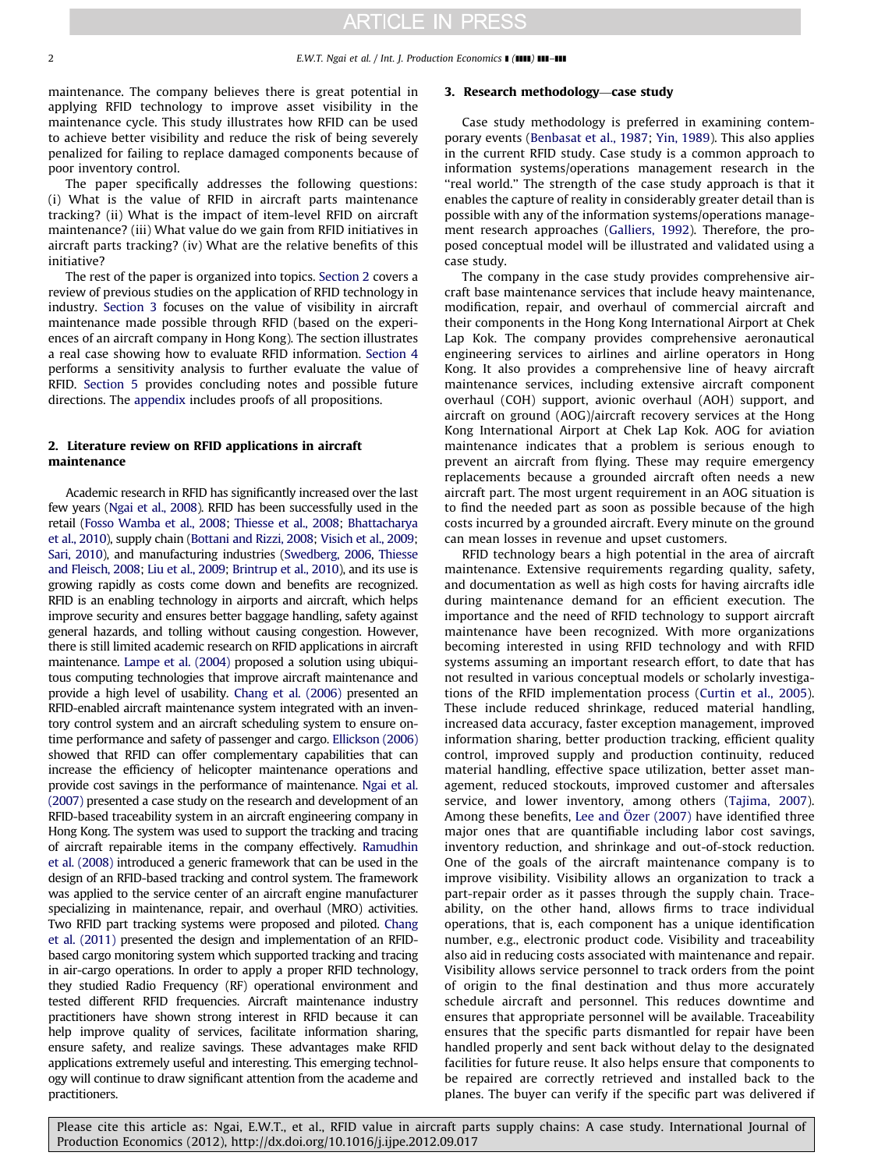### **ARTICLE IN PRESS**

#### 2 E.W.T. Ngai et al. / Int. J. Production Economics  $\blacksquare$  ( $\blacksquare\blacksquare$ )  $\blacksquare\blacksquare\blacksquare$

maintenance. The company believes there is great potential in applying RFID technology to improve asset visibility in the maintenance cycle. This study illustrates how RFID can be used to achieve better visibility and reduce the risk of being severely penalized for failing to replace damaged components because of poor inventory control.

The paper specifically addresses the following questions: (i) What is the value of RFID in aircraft parts maintenance tracking? (ii) What is the impact of item-level RFID on aircraft maintenance? (iii) What value do we gain from RFID initiatives in aircraft parts tracking? (iv) What are the relative benefits of this initiative?

The rest of the paper is organized into topics. Section 2 covers a review of previous studies on the application of RFID technology in industry. Section 3 focuses on the value of visibility in aircraft maintenance made possible through RFID (based on the experiences of an aircraft company in Hong Kong). The section illustrates a real case showing how to evaluate RFID information. [Section 4](#page--1-0) performs a sensitivity analysis to further evaluate the value of RFID. [Section 5](#page--1-0) provides concluding notes and possible future directions. The [appendix](#page--1-0) includes proofs of all propositions.

### 2. Literature review on RFID applications in aircraft maintenance

Academic research in RFID has significantly increased over the last few years [\(Ngai et al., 2008\)](#page--1-0). RFID has been successfully used in the retail [\(Fosso Wamba et al., 2008](#page--1-0); [Thiesse et al., 2008](#page--1-0); [Bhattacharya](#page--1-0) [et al., 2010\)](#page--1-0), supply chain ([Bottani and Rizzi, 2008;](#page--1-0) [Visich et al., 2009;](#page--1-0) [Sari, 2010\)](#page--1-0), and manufacturing industries [\(Swedberg, 2006,](#page--1-0) [Thiesse](#page--1-0) [and Fleisch, 2008](#page--1-0); [Liu et al., 2009;](#page--1-0) [Brintrup et al., 2010\)](#page--1-0), and its use is growing rapidly as costs come down and benefits are recognized. RFID is an enabling technology in airports and aircraft, which helps improve security and ensures better baggage handling, safety against general hazards, and tolling without causing congestion. However, there is still limited academic research on RFID applications in aircraft maintenance. [Lampe et al. \(2004\)](#page--1-0) proposed a solution using ubiquitous computing technologies that improve aircraft maintenance and provide a high level of usability. [Chang et al. \(2006\)](#page--1-0) presented an RFID-enabled aircraft maintenance system integrated with an inventory control system and an aircraft scheduling system to ensure ontime performance and safety of passenger and cargo. [Ellickson \(2006\)](#page--1-0) showed that RFID can offer complementary capabilities that can increase the efficiency of helicopter maintenance operations and provide cost savings in the performance of maintenance. [Ngai et al.](#page--1-0) [\(2007\)](#page--1-0) presented a case study on the research and development of an RFID-based traceability system in an aircraft engineering company in Hong Kong. The system was used to support the tracking and tracing of aircraft repairable items in the company effectively. [Ramudhin](#page--1-0) [et al. \(2008\)](#page--1-0) introduced a generic framework that can be used in the design of an RFID-based tracking and control system. The framework was applied to the service center of an aircraft engine manufacturer specializing in maintenance, repair, and overhaul (MRO) activities. Two RFID part tracking systems were proposed and piloted. [Chang](#page--1-0) [et al. \(2011\)](#page--1-0) presented the design and implementation of an RFIDbased cargo monitoring system which supported tracking and tracing in air-cargo operations. In order to apply a proper RFID technology, they studied Radio Frequency (RF) operational environment and tested different RFID frequencies. Aircraft maintenance industry practitioners have shown strong interest in RFID because it can help improve quality of services, facilitate information sharing, ensure safety, and realize savings. These advantages make RFID applications extremely useful and interesting. This emerging technology will continue to draw significant attention from the academe and practitioners.

### 3. Research methodology—case study

Case study methodology is preferred in examining contemporary events [\(Benbasat et al., 1987;](#page--1-0) [Yin, 1989\)](#page--1-0). This also applies in the current RFID study. Case study is a common approach to information systems/operations management research in the "real world." The strength of the case study approach is that it enables the capture of reality in considerably greater detail than is possible with any of the information systems/operations management research approaches [\(Galliers, 1992\)](#page--1-0). Therefore, the proposed conceptual model will be illustrated and validated using a case study.

The company in the case study provides comprehensive aircraft base maintenance services that include heavy maintenance, modification, repair, and overhaul of commercial aircraft and their components in the Hong Kong International Airport at Chek Lap Kok. The company provides comprehensive aeronautical engineering services to airlines and airline operators in Hong Kong. It also provides a comprehensive line of heavy aircraft maintenance services, including extensive aircraft component overhaul (COH) support, avionic overhaul (AOH) support, and aircraft on ground (AOG)/aircraft recovery services at the Hong Kong International Airport at Chek Lap Kok. AOG for aviation maintenance indicates that a problem is serious enough to prevent an aircraft from flying. These may require emergency replacements because a grounded aircraft often needs a new aircraft part. The most urgent requirement in an AOG situation is to find the needed part as soon as possible because of the high costs incurred by a grounded aircraft. Every minute on the ground can mean losses in revenue and upset customers.

RFID technology bears a high potential in the area of aircraft maintenance. Extensive requirements regarding quality, safety, and documentation as well as high costs for having aircrafts idle during maintenance demand for an efficient execution. The importance and the need of RFID technology to support aircraft maintenance have been recognized. With more organizations becoming interested in using RFID technology and with RFID systems assuming an important research effort, to date that has not resulted in various conceptual models or scholarly investigations of the RFID implementation process ([Curtin et al., 2005\)](#page--1-0). These include reduced shrinkage, reduced material handling, increased data accuracy, faster exception management, improved information sharing, better production tracking, efficient quality control, improved supply and production continuity, reduced material handling, effective space utilization, better asset management, reduced stockouts, improved customer and aftersales service, and lower inventory, among others ([Tajima, 2007\)](#page--1-0). Among these benefits, Lee and Ö[zer \(2007\)](#page--1-0) have identified three major ones that are quantifiable including labor cost savings, inventory reduction, and shrinkage and out-of-stock reduction. One of the goals of the aircraft maintenance company is to improve visibility. Visibility allows an organization to track a part-repair order as it passes through the supply chain. Traceability, on the other hand, allows firms to trace individual operations, that is, each component has a unique identification number, e.g., electronic product code. Visibility and traceability also aid in reducing costs associated with maintenance and repair. Visibility allows service personnel to track orders from the point of origin to the final destination and thus more accurately schedule aircraft and personnel. This reduces downtime and ensures that appropriate personnel will be available. Traceability ensures that the specific parts dismantled for repair have been handled properly and sent back without delay to the designated facilities for future reuse. It also helps ensure that components to be repaired are correctly retrieved and installed back to the planes. The buyer can verify if the specific part was delivered if

Please cite this article as: Ngai, E.W.T., et al., RFID value in aircraft parts supply chains: A case study. International Journal of Production Economics (2012), [http://dx.doi.org/10.1016/j.ijpe.2012.09.017](dx.doi.org/10.1016/j.ijpe.2012.09.017)